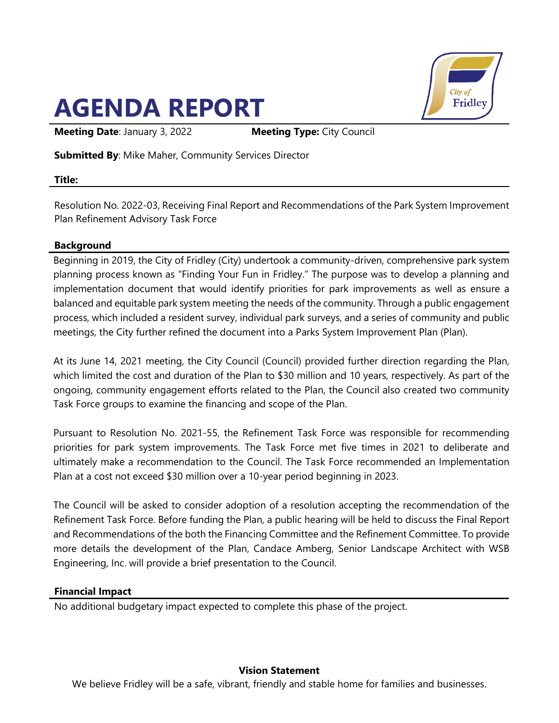# **AGENDA REPORT**



**Meeting Date**: January 3, 2022 **Meeting Type:** City Council

**Submitted By**: Mike Maher, Community Services Director

## **Title:**

Resolution No. 2022-03, Receiving Final Report and Recommendations of the Park System Improvement Plan Refinement Advisory Task Force

# **Background**

Beginning in 2019, the City of Fridley (City) undertook a community-driven, comprehensive park system planning process known as "Finding Your Fun in Fridley." The purpose was to develop a planning and implementation document that would identify priorities for park improvements as well as ensure a balanced and equitable park system meeting the needs of the community. Through a public engagement process, which included a resident survey, individual park surveys, and a series of community and public meetings, the City further refined the document into a Parks System Improvement Plan (Plan).

At its June 14, 2021 meeting, the City Council (Council) provided further direction regarding the Plan, which limited the cost and duration of the Plan to \$30 million and 10 years, respectively. As part of the ongoing, community engagement efforts related to the Plan, the Council also created two community Task Force groups to examine the financing and scope of the Plan.

Pursuant to Resolution No. 2021-55, the Refinement Task Force was responsible for recommending priorities for park system improvements. The Task Force met five times in 2021 to deliberate and ultimately make a recommendation to the Council. The Task Force recommended an Implementation Plan at a cost not exceed \$30 million over a 10-year period beginning in 2023.

The Council will be asked to consider adoption of a resolution accepting the recommendation of the Refinement Task Force. Before funding the Plan, a public hearing will be held to discuss the Final Report and Recommendations of the both the Financing Committee and the Refinement Committee. To provide more details the development of the Plan, Candace Amberg, Senior Landscape Architect with WSB Engineering, Inc. will provide a brief presentation to the Council.

# **Financial Impact**

No additional budgetary impact expected to complete this phase of the project.

# **Vision Statement**

We believe Fridley will be a safe, vibrant, friendly and stable home for families and businesses.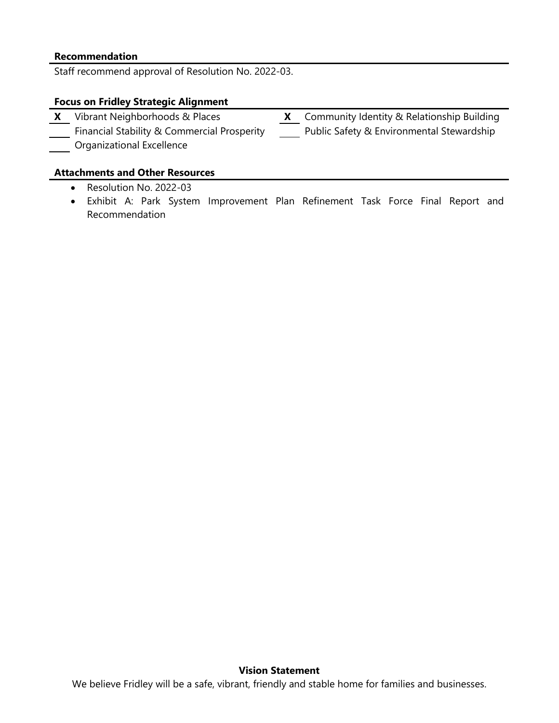#### **Recommendation**

Staff recommend approval of Resolution No. 2022-03.

#### **Focus on Fridley Strategic Alignment**

**X** Vibrant Neighborhoods & Places **X** Community Identity & Relationship Building Financial Stability & Commercial Prosperity Public Safety & Environmental Stewardship Organizational Excellence

#### **Attachments and Other Resources**

- Resolution No. 2022-03
- Exhibit A: Park System Improvement Plan Refinement Task Force Final Report and Recommendation